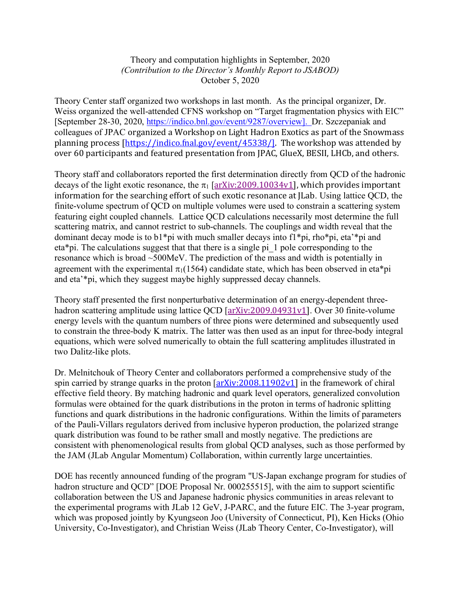## Theory and computation highlights in September, 2020 *(Contribution to the Director's Monthly Report to JSABOD)* October 5, 2020

Theory Center staff organized two workshops in last month. As the principal organizer, Dr. Weiss organized the well-attended CFNS workshop on "Target fragmentation physics with EIC" [September 28-30, 2020, https://indico.bnl.gov/event/9287/overview]. Dr. Szczepaniak and colleagues of JPAC organized a Workshop on Light Hadron Exotics as part of the Snowmass planning process [https://indico.fnal.gov/event/45338/]. The workshop was attended by over 60 participants and featured presentation from JPAC, GlueX, BESII, LHCb, and others.

Theory staff and collaborators reported the first determination directly from QCD of the hadronic decays of the light exotic resonance, the  $\pi_1$  [arXiv:2009.10034v1], which provides important information for the searching effort of such exotic resonance at  $I$ Lab. Using lattice  $OCD$ , the finite-volume spectrum of QCD on multiple volumes were used to constrain a scattering system featuring eight coupled channels. Lattice QCD calculations necessarily most determine the full scattering matrix, and cannot restrict to sub-channels. The couplings and width reveal that the dominant decay mode is to b1\*pi with much smaller decays into f1\*pi, rho\*pi, eta'\*pi and eta\*pi. The calculations suggest that that there is a single pi\_1 pole corresponding to the resonance which is broad ~500MeV. The prediction of the mass and width is potentially in agreement with the experimental  $\pi_1(1564)$  candidate state, which has been observed in eta\*pi and eta'\*pi, which they suggest maybe highly suppressed decay channels.

Theory staff presented the first nonperturbative determination of an energy-dependent threehadron scattering amplitude using lattice QCD [arXiv:2009.04931v1]. Over 30 finite-volume energy levels with the quantum numbers of three pions were determined and subsequently used to constrain the three-body K matrix. The latter was then used as an input for three-body integral equations, which were solved numerically to obtain the full scattering amplitudes illustrated in two Dalitz-like plots.

Dr. Melnitchouk of Theory Center and collaborators performed a comprehensive study of the spin carried by strange quarks in the proton  $\left[ \frac{\text{arXiv:}2008.11902v1}{\text{arXiv:}2008.11902v1} \right]$  in the framework of chiral effective field theory. By matching hadronic and quark level operators, generalized convolution formulas were obtained for the quark distributions in the proton in terms of hadronic splitting functions and quark distributions in the hadronic configurations. Within the limits of parameters of the Pauli-Villars regulators derived from inclusive hyperon production, the polarized strange quark distribution was found to be rather small and mostly negative. The predictions are consistent with phenomenological results from global QCD analyses, such as those performed by the JAM (JLab Angular Momentum) Collaboration, within currently large uncertainties.

DOE has recently announced funding of the program "US-Japan exchange program for studies of hadron structure and QCD" [DOE Proposal Nr. 000255515], with the aim to support scientific collaboration between the US and Japanese hadronic physics communities in areas relevant to the experimental programs with JLab 12 GeV, J-PARC, and the future EIC. The 3-year program, which was proposed jointly by Kyungseon Joo (University of Connecticut, PI), Ken Hicks (Ohio University, Co-Investigator), and Christian Weiss (JLab Theory Center, Co-Investigator), will